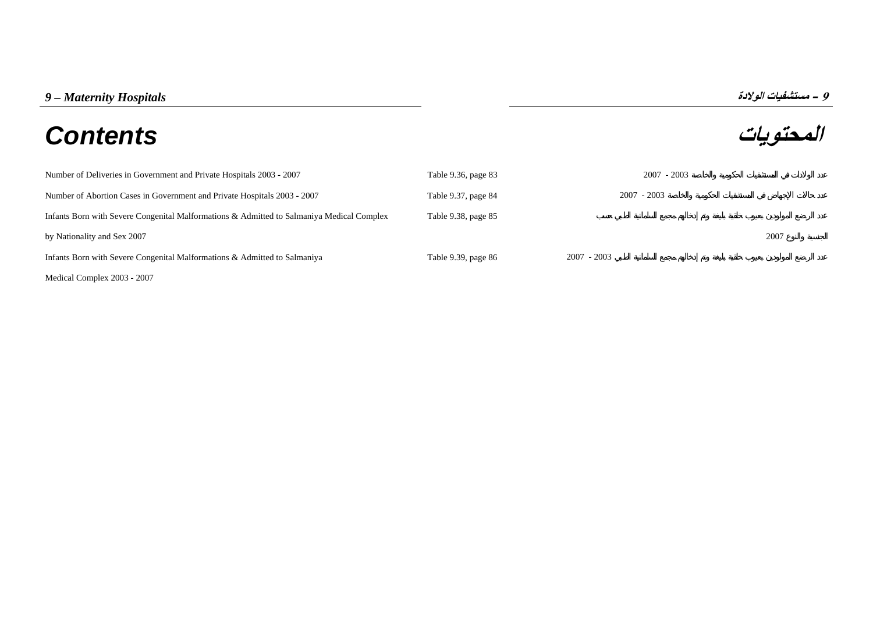# **المحتويات** *Contents*



*9 - مستشفيات الولادة*<br>**المحتويات**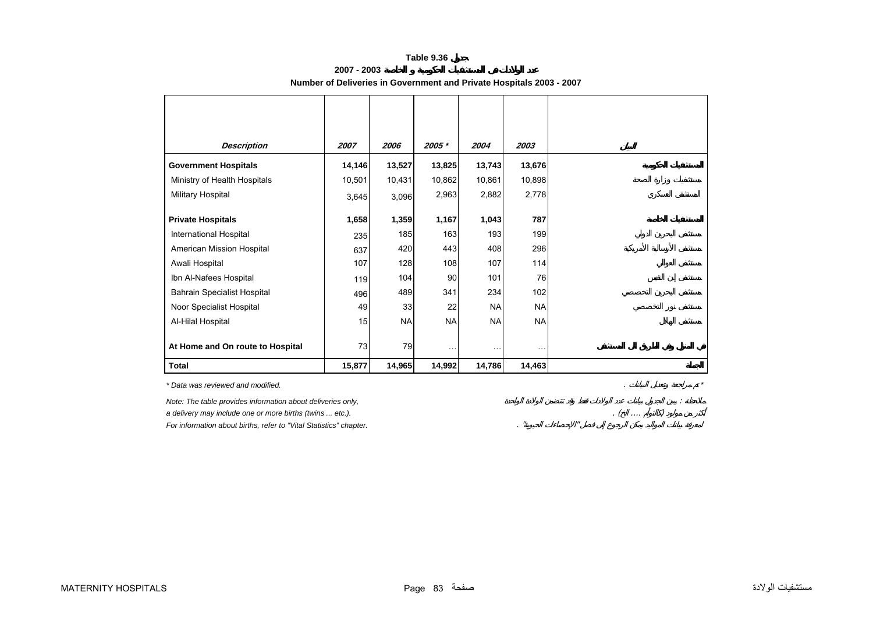### **Table 9.36**

| 2007 - 2003                                                          |  |
|----------------------------------------------------------------------|--|
| Number of Deliveries in Government and Private Hospitals 2003 - 2007 |  |

<span id="page-1-0"></span>

| <b>Description</b>                                                                                                                                                                            | 2007   | 2006      | 2005 *    | 2004      | 2003      |
|-----------------------------------------------------------------------------------------------------------------------------------------------------------------------------------------------|--------|-----------|-----------|-----------|-----------|
| <b>Government Hospitals</b>                                                                                                                                                                   | 14,146 | 13,527    | 13,825    | 13,743    | 13,676    |
| Ministry of Health Hospitals                                                                                                                                                                  | 10,501 | 10,431    | 10,862    | 10,861    | 10,898    |
| Military Hospital                                                                                                                                                                             | 3,645  | 3,096     | 2,963     | 2,882     | 2,778     |
| <b>Private Hospitals</b>                                                                                                                                                                      | 1,658  | 1,359     | 1,167     | 1,043     | 787       |
| <b>International Hospital</b>                                                                                                                                                                 | 235    | 185       | 163       | 193       | 199       |
| American Mission Hospital                                                                                                                                                                     | 637    | 420       | 443       | 408       | 296       |
| Awali Hospital                                                                                                                                                                                | 107    | 128       | 108       | 107       | 114       |
| Ibn Al-Nafees Hospital                                                                                                                                                                        | 119    | 104       | 90        | 101       | 76        |
| <b>Bahrain Specialist Hospital</b>                                                                                                                                                            | 496    | 489       | 341       | 234       | 102       |
| Noor Specialist Hospital                                                                                                                                                                      | 49     | 33        | 22        | <b>NA</b> | <b>NA</b> |
| Al-Hilal Hospital                                                                                                                                                                             | 15     | <b>NA</b> | <b>NA</b> | <b>NA</b> | <b>NA</b> |
| At Home and On route to Hospital                                                                                                                                                              | 73     | 79        | .         | .         | $\ddotsc$ |
| <b>Total</b>                                                                                                                                                                                  | 15,877 | 14,965    | 14,992    | 14,786    | 14,463    |
| * Data was reviewed and modified.                                                                                                                                                             |        |           |           |           |           |
| Note: The table provides information about deliveries only,<br>a delivery may include one or more births (twins  etc.).<br>For information about births, refer to "Vital Statistics" chapter. |        |           |           |           |           |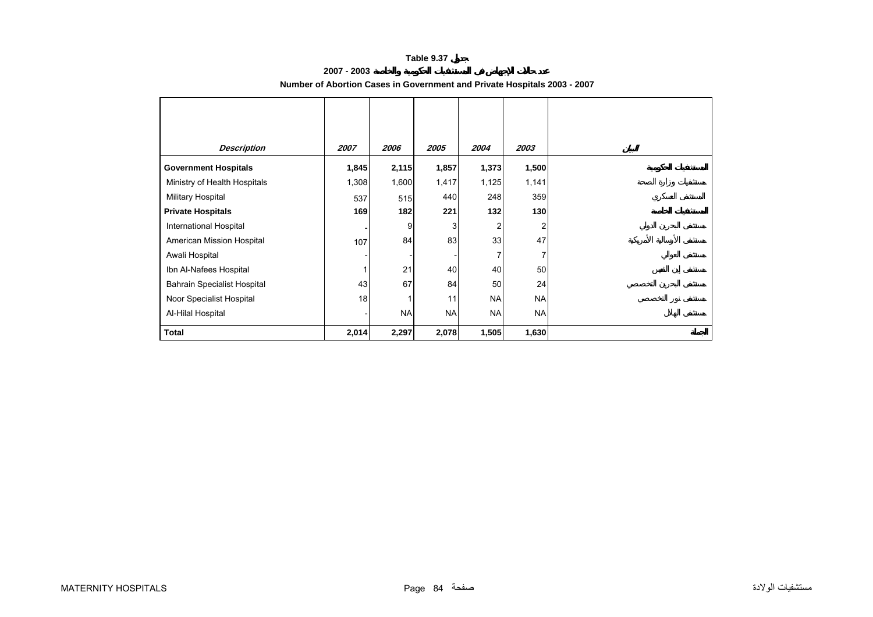#### **Table 9.37**

# **2007 - 2003**

<span id="page-2-0"></span>

| <b>Description</b>                 | 2007  | 2006      | 2005      | 2004      | 2003      |
|------------------------------------|-------|-----------|-----------|-----------|-----------|
| <b>Government Hospitals</b>        | 1,845 | 2,115     | 1,857     | 1,373     | 1,500     |
| Ministry of Health Hospitals       | 1,308 | 1,600     | 1,417     | 1,125     | 1,141     |
| Military Hospital                  | 537   | 515       | 440       | 248       | 359       |
| <b>Private Hospitals</b>           | 169   | 182       | 221       | 132       | 130       |
| International Hospital             |       | 9         | 3         |           |           |
| American Mission Hospital          | 107   | 84        | 83        | 33        | 47        |
| Awali Hospital                     |       |           |           |           |           |
| Ibn Al-Nafees Hospital             |       | 21        | 40        | 40        | 50        |
| <b>Bahrain Specialist Hospital</b> | 43    | 67        | 84        | 50        | 24        |
| Noor Specialist Hospital           | 18    | 1         | 11        | <b>NA</b> | <b>NA</b> |
| Al-Hilal Hospital                  |       | <b>NA</b> | <b>NA</b> | <b>NA</b> | <b>NA</b> |
| <b>Total</b>                       | 2,014 | 2,297     | 2,078     | 1,505     | 1,630     |

# **Number of Abortion Cases in Government and Private Hospitals 2003 - 2007**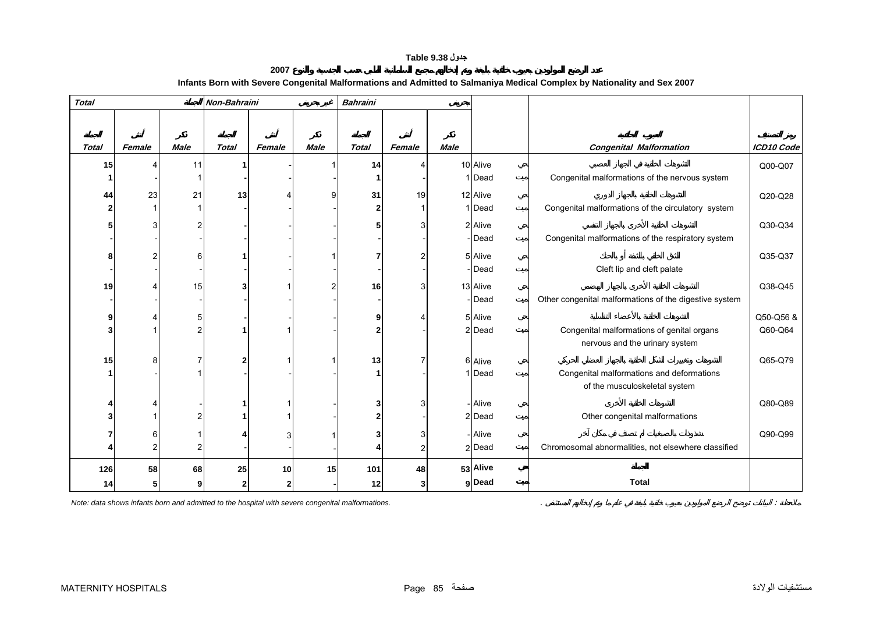# **جدول 9.38 Table**

| 2007                                                                                                                    |  |
|-------------------------------------------------------------------------------------------------------------------------|--|
| Infants Born with Severe Congenital Malformations and Admitted to Salmaniya Medical Complex by Nationality and Sex 2007 |  |

<span id="page-3-0"></span>

| <b>Total</b>    |        |      | Non-Bahraini |              |             | <b>Bahraini</b> |                |             |          |                                                        |            |
|-----------------|--------|------|--------------|--------------|-------------|-----------------|----------------|-------------|----------|--------------------------------------------------------|------------|
|                 |        |      |              |              |             |                 |                |             |          |                                                        |            |
|                 |        |      |              |              |             |                 |                |             |          |                                                        |            |
| <b>Total</b>    | Female | Male | <b>Total</b> | Female       | <b>Male</b> | <b>Total</b>    | Female         | <b>Male</b> |          | <b>Congenital Malformation</b>                         | ICD10 Code |
| 15 <sup>1</sup> |        | 11   |              |              |             | 14              |                |             | 10 Alive |                                                        | Q00-Q07    |
|                 |        |      |              |              |             |                 |                |             | 1 Dead   | Congenital malformations of the nervous system         |            |
| 44              | 23     | 21   | 13           |              |             | 31              | 19             |             | 12 Alive |                                                        | Q20-Q28    |
|                 |        |      |              |              |             | $\mathbf{2}$    |                |             | 1 Dead   | Congenital malformations of the circulatory system     |            |
|                 |        |      |              |              |             | 5               |                |             | 2 Alive  |                                                        | Q30-Q34    |
|                 |        |      |              |              |             |                 |                |             | -Dead    | Congenital malformations of the respiratory system     |            |
|                 |        |      |              |              |             |                 |                |             | 5 Alive  |                                                        | Q35-Q37    |
|                 |        |      |              |              |             |                 |                |             | - Dead   | Cleft lip and cleft palate                             |            |
| 19              |        | 15   |              |              |             | 16              | 3              |             | 13 Alive |                                                        | Q38-Q45    |
|                 |        |      |              |              |             |                 |                |             | - Dead   | Other congenital malformations of the digestive system |            |
|                 |        |      |              |              |             | g               |                |             | 5 Alive  |                                                        | Q50-Q56 &  |
|                 |        |      |              |              |             | 2               |                |             | 2 Dead   | Congenital malformations of genital organs             | Q60-Q64    |
|                 |        |      |              |              |             |                 |                |             |          | nervous and the urinary system                         |            |
| 15              |        |      |              |              |             | 13              |                |             | 6 Alive  |                                                        | Q65-Q79    |
|                 |        |      |              |              |             |                 |                |             | 1 Dead   | Congenital malformations and deformations              |            |
|                 |        |      |              |              |             |                 |                |             |          | of the musculoskeletal system                          |            |
|                 |        |      |              |              |             | 3               |                |             | - Alive  |                                                        | Q80-Q89    |
|                 |        |      |              |              |             | 2               |                |             | 2 Dead   | Other congenital malformations                         |            |
|                 |        |      |              |              |             |                 | 3              |             | - Alive  |                                                        | Q90-Q99    |
|                 |        |      |              |              |             |                 | $\overline{2}$ |             | 2 Dead   | Chromosomal abnormalities, not elsewhere classified    |            |
|                 |        |      |              |              |             |                 |                |             |          |                                                        |            |
| 126             | 58     | 68   | 25           | 10           | 15          | 101             | 48             |             | 53 Alive |                                                        |            |
| 14              |        |      | 2            | $\mathbf{2}$ |             | 12              | 3              |             | g Dead   | <b>Total</b>                                           |            |

*Note: data shows infants born and admitted to the hospital with severe congenital malformations.* . :